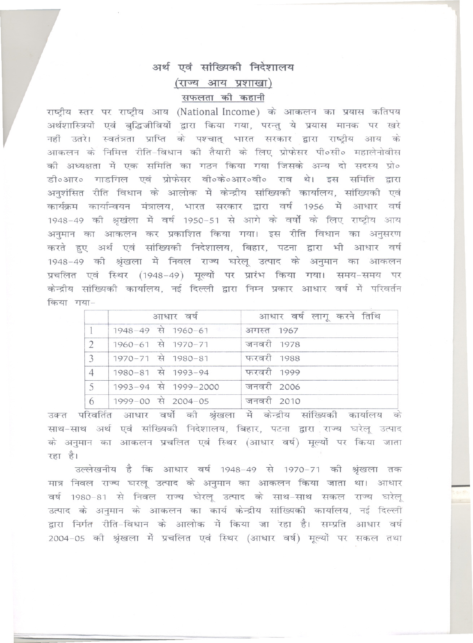## अर्थ एवं सांख्यिकी निदेशालय (राज्य आय प्रशाखा) सफलता की कहानी

राष्ट्रीय स्तर पर राष्ट्रीय आय (National Income) के आकलन का प्रयास कतिपय अर्थशास्त्रियों एवं बुद्धिजीवियों द्वारा किया गया, परन्तु ये प्रयास मानक पर खरे नहीं उतरे। स्वतंत्रता प्राप्ति के पश्चात् भारत सरकार द्वारा राष्ट्रीय आय के आकलन के निमित्त रीति-विधान की तैयारी के लिए प्रोफेसर पी०सी० महालेनोवीस की अध्यक्षता में एक समिति का गठन किया गया जिसके अन्य दो सदस्य प्रो० डी०आर० गाडगिल एवं प्रोफेसर वी०के०आर०वी० राव थे। इस समिति द्वारा अनुशंसित रीति विधान के आलोक में केन्द्रीय सांख्यिकी कार्यालय, सांख्यिकी एवं कार्यक्रम कार्यान्वयन मंत्रालय, भारत सरकार द्वारा वर्ष 1956 में आधार वर्ष 1948-49 की श्रखंला में वर्ष 1950-51 से आगे के वर्षों के लिए राष्ट्रीय आय अनुमान का आकलन कर प्रकाशित किया गया। इस रीति विधान का अनुसरण करते हुए अर्थ एवं सांख्यिकी निदेशालय, बिहार, पटना द्वारा भी आधार वर्ष 1948-49 की श्रृंखला में निवल राज्य घरेलू उत्पाद के अनुमान का आकलन प्रचलित एवं स्थिर (1948-49) मूल्यों पर प्रारंभ किया गया। समय-समय पर केन्द्रीय सांख्यिकी कार्यालय, नई दिल्ली द्वारा निम्न प्रकार आधार वर्ष में परिवर्तन किया गया-

|                | आधार वर्ष            | आधार वर्ष लागू करने तिथि |
|----------------|----------------------|--------------------------|
|                | 1948-49 से 1960-61   | अगस्त 1967               |
| $\mathfrak{D}$ | 1960-61 से 1970-71   | जनवरी 1978               |
| 3              | 1970-71 से 1980-81   | फरवरी 1988               |
| $\overline{4}$ | 1980-81 से 1993-94   | फरवरी 1999               |
| 5              | 1993-94 से 1999-2000 | जनवरी 2006               |
| 6              | 1999-00 से 2004-05   | जनवरी 2010               |

उक्त परिवर्तित आधार वर्षो की श्रृंखला में केन्द्रीय सांख्यिकी कार्यालय के साथ-साथ अर्थ एवं सांख्यिकी निदेशालय, बिहार, पटना द्वारा राज्य घरेलू उत्पाद के अनुमान का आकलन प्रचलित एवं स्थिर (आधार वर्ष) मूल्यों पर किया जाता रहा है।

उल्लेखनीय है कि आधार वर्ष 1948-49 से 1970-71 की श्रृंखला तक मात्र निवल राज्य घरलू उत्पाद के अनुमान का आकलन किया जाता था। आधार वर्ष 1980-81 से निवल राज्य घेरलू उत्पाद के साथ-साथ सकल राज्य घरेलू उत्पाद के अनुमान के आकलन का कार्य केन्द्रीय सांख्यिकी कार्यालय, नई दिल्ली द्वारा निर्गत रीति-विधान के आलोक में किया जा रहा है। सम्प्रति आधार वर्ष 2004-05 की श्रृंखला में प्रचलित एवं स्थिर (आधार वर्ष) मूल्यों पर सकल तथा